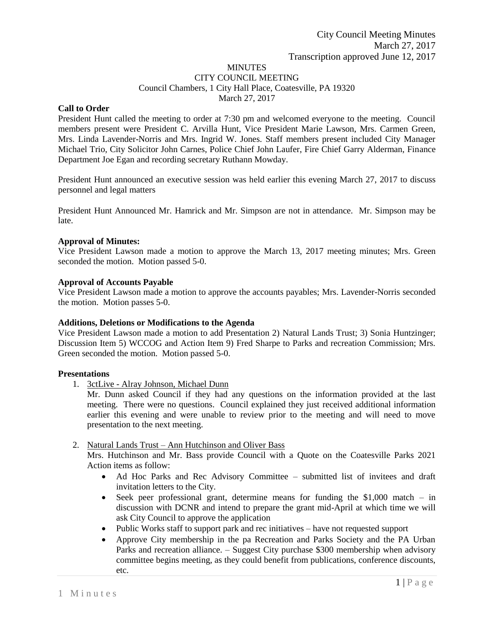#### MINUTES CITY COUNCIL MEETING Council Chambers, 1 City Hall Place, Coatesville, PA 19320 March 27, 2017

## **Call to Order**

President Hunt called the meeting to order at 7:30 pm and welcomed everyone to the meeting. Council members present were President C. Arvilla Hunt, Vice President Marie Lawson, Mrs. Carmen Green, Mrs. Linda Lavender-Norris and Mrs. Ingrid W. Jones. Staff members present included City Manager Michael Trio, City Solicitor John Carnes, Police Chief John Laufer, Fire Chief Garry Alderman, Finance Department Joe Egan and recording secretary Ruthann Mowday.

President Hunt announced an executive session was held earlier this evening March 27, 2017 to discuss personnel and legal matters

President Hunt Announced Mr. Hamrick and Mr. Simpson are not in attendance. Mr. Simpson may be late.

#### **Approval of Minutes:**

Vice President Lawson made a motion to approve the March 13, 2017 meeting minutes; Mrs. Green seconded the motion. Motion passed 5-0.

## **Approval of Accounts Payable**

Vice President Lawson made a motion to approve the accounts payables; Mrs. Lavender-Norris seconded the motion. Motion passes 5-0.

#### **Additions, Deletions or Modifications to the Agenda**

Vice President Lawson made a motion to add Presentation 2) Natural Lands Trust; 3) Sonia Huntzinger; Discussion Item 5) WCCOG and Action Item 9) Fred Sharpe to Parks and recreation Commission; Mrs. Green seconded the motion. Motion passed 5-0.

## **Presentations**

1. 3ctLive - Alray Johnson, Michael Dunn

Mr. Dunn asked Council if they had any questions on the information provided at the last meeting. There were no questions. Council explained they just received additional information earlier this evening and were unable to review prior to the meeting and will need to move presentation to the next meeting.

## 2. Natural Lands Trust – Ann Hutchinson and Oliver Bass

Mrs. Hutchinson and Mr. Bass provide Council with a Quote on the Coatesville Parks 2021 Action items as follow:

- Ad Hoc Parks and Rec Advisory Committee submitted list of invitees and draft invitation letters to the City.
- $\bullet$  Seek peer professional grant, determine means for funding the \$1,000 match in discussion with DCNR and intend to prepare the grant mid-April at which time we will ask City Council to approve the application
- Public Works staff to support park and rec initiatives have not requested support
- Approve City membership in the pa Recreation and Parks Society and the PA Urban Parks and recreation alliance. – Suggest City purchase \$300 membership when advisory committee begins meeting, as they could benefit from publications, conference discounts, etc.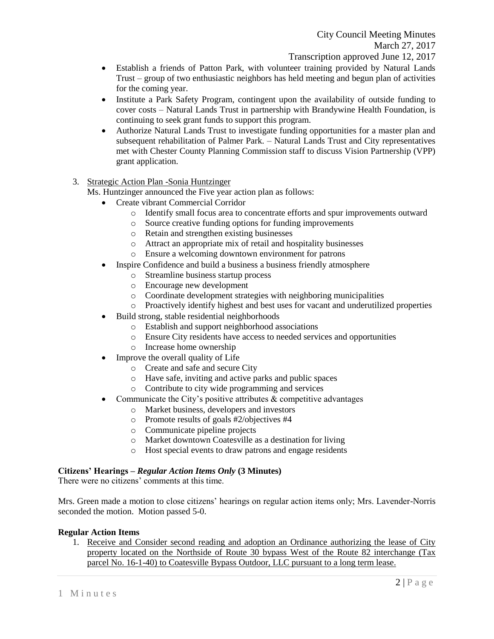- Establish a friends of Patton Park, with volunteer training provided by Natural Lands Trust – group of two enthusiastic neighbors has held meeting and begun plan of activities for the coming year.
- Institute a Park Safety Program, contingent upon the availability of outside funding to cover costs – Natural Lands Trust in partnership with Brandywine Health Foundation, is continuing to seek grant funds to support this program.
- Authorize Natural Lands Trust to investigate funding opportunities for a master plan and subsequent rehabilitation of Palmer Park. – Natural Lands Trust and City representatives met with Chester County Planning Commission staff to discuss Vision Partnership (VPP) grant application.
- 3. Strategic Action Plan -Sonia Huntzinger

Ms. Huntzinger announced the Five year action plan as follows:

- Create vibrant Commercial Corridor
	- o Identify small focus area to concentrate efforts and spur improvements outward
	- o Source creative funding options for funding improvements
	- o Retain and strengthen existing businesses
	- o Attract an appropriate mix of retail and hospitality businesses
	- o Ensure a welcoming downtown environment for patrons
- Inspire Confidence and build a business a business friendly atmosphere
	- o Streamline business startup process
	- o Encourage new development
	- o Coordinate development strategies with neighboring municipalities
	- o Proactively identify highest and best uses for vacant and underutilized properties
- Build strong, stable residential neighborhoods
	- o Establish and support neighborhood associations
	- o Ensure City residents have access to needed services and opportunities
	- o Increase home ownership
- Improve the overall quality of Life
	- o Create and safe and secure City
	- o Have safe, inviting and active parks and public spaces
	- o Contribute to city wide programming and services
- Communicate the City's positive attributes  $\&$  competitive advantages
	- o Market business, developers and investors
	- o Promote results of goals #2/objectives #4
	- o Communicate pipeline projects
	- o Market downtown Coatesville as a destination for living
	- o Host special events to draw patrons and engage residents

## **Citizens' Hearings –** *Regular Action Items Only* **(3 Minutes)**

There were no citizens' comments at this time.

Mrs. Green made a motion to close citizens' hearings on regular action items only; Mrs. Lavender-Norris seconded the motion. Motion passed 5-0.

## **Regular Action Items**

1. Receive and Consider second reading and adoption an Ordinance authorizing the lease of City property located on the Northside of Route 30 bypass West of the Route 82 interchange (Tax parcel No. 16-1-40) to Coatesville Bypass Outdoor, LLC pursuant to a long term lease.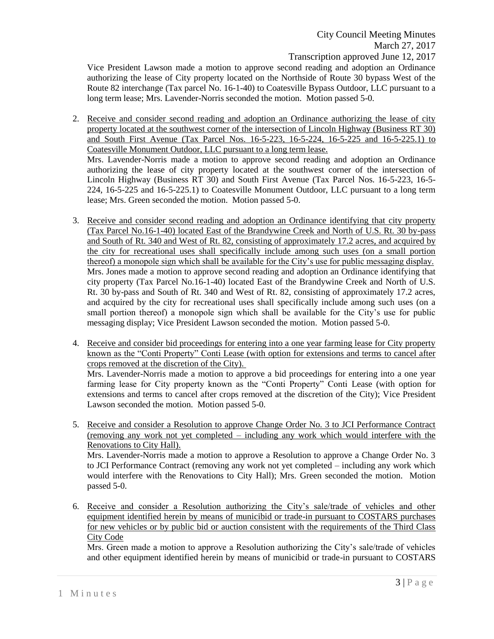Vice President Lawson made a motion to approve second reading and adoption an Ordinance authorizing the lease of City property located on the Northside of Route 30 bypass West of the Route 82 interchange (Tax parcel No. 16-1-40) to Coatesville Bypass Outdoor, LLC pursuant to a long term lease; Mrs. Lavender-Norris seconded the motion. Motion passed 5-0.

2. Receive and consider second reading and adoption an Ordinance authorizing the lease of city property located at the southwest corner of the intersection of Lincoln Highway (Business RT 30) and South First Avenue (Tax Parcel Nos. 16-5-223, 16-5-224, 16-5-225 and 16-5-225.1) to Coatesville Monument Outdoor, LLC pursuant to a long term lease.

Mrs. Lavender-Norris made a motion to approve second reading and adoption an Ordinance authorizing the lease of city property located at the southwest corner of the intersection of Lincoln Highway (Business RT 30) and South First Avenue (Tax Parcel Nos. 16-5-223, 16-5- 224, 16-5-225 and 16-5-225.1) to Coatesville Monument Outdoor, LLC pursuant to a long term lease; Mrs. Green seconded the motion. Motion passed 5-0.

- 3. Receive and consider second reading and adoption an Ordinance identifying that city property (Tax Parcel No.16-1-40) located East of the Brandywine Creek and North of U.S. Rt. 30 by-pass and South of Rt. 340 and West of Rt. 82, consisting of approximately 17.2 acres, and acquired by the city for recreational uses shall specifically include among such uses (on a small portion thereof) a monopole sign which shall be available for the City's use for public messaging display. Mrs. Jones made a motion to approve second reading and adoption an Ordinance identifying that city property (Tax Parcel No.16-1-40) located East of the Brandywine Creek and North of U.S. Rt. 30 by-pass and South of Rt. 340 and West of Rt. 82, consisting of approximately 17.2 acres, and acquired by the city for recreational uses shall specifically include among such uses (on a small portion thereof) a monopole sign which shall be available for the City's use for public messaging display; Vice President Lawson seconded the motion. Motion passed 5-0.
- 4. Receive and consider bid proceedings for entering into a one year farming lease for City property known as the "Conti Property" Conti Lease (with option for extensions and terms to cancel after crops removed at the discretion of the City).

Mrs. Lavender-Norris made a motion to approve a bid proceedings for entering into a one year farming lease for City property known as the "Conti Property" Conti Lease (with option for extensions and terms to cancel after crops removed at the discretion of the City); Vice President Lawson seconded the motion. Motion passed 5-0.

- 5. Receive and consider a Resolution to approve Change Order No. 3 to JCI Performance Contract (removing any work not yet completed – including any work which would interfere with the Renovations to City Hall). Mrs. Lavender-Norris made a motion to approve a Resolution to approve a Change Order No. 3 to JCI Performance Contract (removing any work not yet completed – including any work which would interfere with the Renovations to City Hall); Mrs. Green seconded the motion. Motion passed 5-0.
- 6. Receive and consider a Resolution authorizing the City's sale/trade of vehicles and other equipment identified herein by means of municibid or trade-in pursuant to COSTARS purchases for new vehicles or by public bid or auction consistent with the requirements of the Third Class City Code

Mrs. Green made a motion to approve a Resolution authorizing the City's sale/trade of vehicles and other equipment identified herein by means of municibid or trade-in pursuant to COSTARS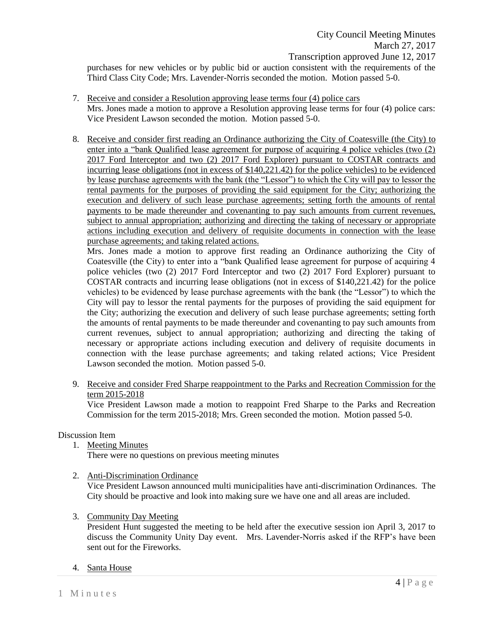purchases for new vehicles or by public bid or auction consistent with the requirements of the Third Class City Code; Mrs. Lavender-Norris seconded the motion. Motion passed 5-0.

- 7. Receive and consider a Resolution approving lease terms four (4) police cars Mrs. Jones made a motion to approve a Resolution approving lease terms for four (4) police cars: Vice President Lawson seconded the motion. Motion passed 5-0.
- 8. Receive and consider first reading an Ordinance authorizing the City of Coatesville (the City) to enter into a "bank Qualified lease agreement for purpose of acquiring 4 police vehicles (two (2) 2017 Ford Interceptor and two (2) 2017 Ford Explorer) pursuant to COSTAR contracts and incurring lease obligations (not in excess of  $$140,221.42$ ) for the police vehicles) to be evidenced by lease purchase agreements with the bank (the "Lessor") to which the City will pay to lessor the rental payments for the purposes of providing the said equipment for the City; authorizing the execution and delivery of such lease purchase agreements; setting forth the amounts of rental payments to be made thereunder and covenanting to pay such amounts from current revenues, subject to annual appropriation; authorizing and directing the taking of necessary or appropriate actions including execution and delivery of requisite documents in connection with the lease purchase agreements; and taking related actions.

Mrs. Jones made a motion to approve first reading an Ordinance authorizing the City of Coatesville (the City) to enter into a "bank Qualified lease agreement for purpose of acquiring 4 police vehicles (two (2) 2017 Ford Interceptor and two (2) 2017 Ford Explorer) pursuant to COSTAR contracts and incurring lease obligations (not in excess of \$140,221.42) for the police vehicles) to be evidenced by lease purchase agreements with the bank (the "Lessor") to which the City will pay to lessor the rental payments for the purposes of providing the said equipment for the City; authorizing the execution and delivery of such lease purchase agreements; setting forth the amounts of rental payments to be made thereunder and covenanting to pay such amounts from current revenues, subject to annual appropriation; authorizing and directing the taking of necessary or appropriate actions including execution and delivery of requisite documents in connection with the lease purchase agreements; and taking related actions; Vice President Lawson seconded the motion. Motion passed 5-0.

9. Receive and consider Fred Sharpe reappointment to the Parks and Recreation Commission for the term 2015-2018

Vice President Lawson made a motion to reappoint Fred Sharpe to the Parks and Recreation Commission for the term 2015-2018; Mrs. Green seconded the motion. Motion passed 5-0.

# Discussion Item

1. Meeting Minutes

There were no questions on previous meeting minutes

2. Anti-Discrimination Ordinance

Vice President Lawson announced multi municipalities have anti-discrimination Ordinances. The City should be proactive and look into making sure we have one and all areas are included.

3. Community Day Meeting

President Hunt suggested the meeting to be held after the executive session ion April 3, 2017 to discuss the Community Unity Day event. Mrs. Lavender-Norris asked if the RFP's have been sent out for the Fireworks.

## 4. Santa House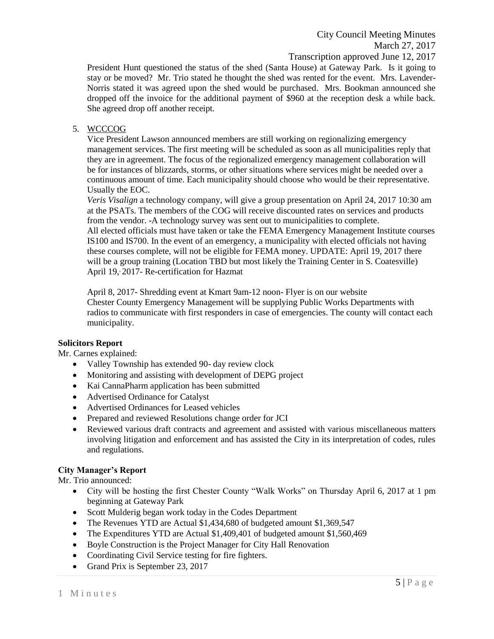City Council Meeting Minutes March 27, 2017 Transcription approved June 12, 2017

President Hunt questioned the status of the shed (Santa House) at Gateway Park. Is it going to stay or be moved? Mr. Trio stated he thought the shed was rented for the event. Mrs. Lavender-Norris stated it was agreed upon the shed would be purchased. Mrs. Bookman announced she dropped off the invoice for the additional payment of \$960 at the reception desk a while back. She agreed drop off another receipt.

# 5. WCCCOG

Vice President Lawson announced members are still working on regionalizing emergency management services. The first meeting will be scheduled as soon as all municipalities reply that they are in agreement. The focus of the regionalized emergency management collaboration will be for instances of blizzards, storms, or other situations where services might be needed over a continuous amount of time. Each municipality should choose who would be their representative. Usually the EOC.

*Veris Visalign* a technology company, will give a group presentation on April 24, 2017 10:30 am at the PSATs. The members of the COG will receive discounted rates on services and products from the vendor. -A technology survey was sent out to municipalities to complete. All elected officials must have taken or take the FEMA Emergency Management Institute courses IS100 and IS700. In the event of an emergency, a municipality with elected officials not having these courses complete, will not be eligible for FEMA money. UPDATE: April 19, 2017 there will be a group training (Location TBD but most likely the Training Center in S. Coatesville)

April 19, 2017- Re-certification for Hazmat

April 8, 2017- Shredding event at Kmart 9am-12 noon- Flyer is on our website Chester County Emergency Management will be supplying Public Works Departments with radios to communicate with first responders in case of emergencies. The county will contact each municipality.

## **Solicitors Report**

Mr. Carnes explained:

- Valley Township has extended 90- day review clock
- Monitoring and assisting with development of DEPG project
- Kai CannaPharm application has been submitted
- Advertised Ordinance for Catalyst
- Advertised Ordinances for Leased vehicles
- Prepared and reviewed Resolutions change order for JCI
- Reviewed various draft contracts and agreement and assisted with various miscellaneous matters involving litigation and enforcement and has assisted the City in its interpretation of codes, rules and regulations.

## **City Manager's Report**

Mr. Trio announced:

- City will be hosting the first Chester County "Walk Works" on Thursday April 6, 2017 at 1 pm beginning at Gateway Park
- Scott Mulderig began work today in the Codes Department
- The Revenues YTD are Actual \$1,434,680 of budgeted amount \$1,369,547
- The Expenditures YTD are Actual \$1,409,401 of budgeted amount \$1,560,469
- Boyle Construction is the Project Manager for City Hall Renovation
- Coordinating Civil Service testing for fire fighters.
- Grand Prix is September 23, 2017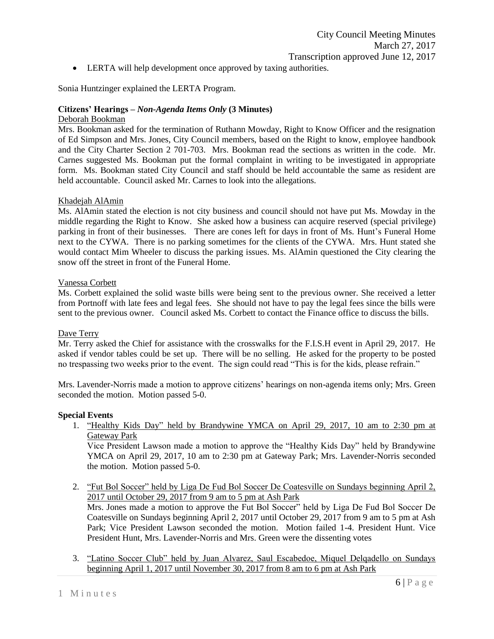LERTA will help development once approved by taxing authorities.

Sonia Huntzinger explained the LERTA Program.

## **Citizens' Hearings –** *Non-Agenda Items Only* **(3 Minutes)**

## Deborah Bookman

Mrs. Bookman asked for the termination of Ruthann Mowday, Right to Know Officer and the resignation of Ed Simpson and Mrs. Jones, City Council members, based on the Right to know, employee handbook and the City Charter Section 2 701-703. Mrs. Bookman read the sections as written in the code. Mr. Carnes suggested Ms. Bookman put the formal complaint in writing to be investigated in appropriate form. Ms. Bookman stated City Council and staff should be held accountable the same as resident are held accountable. Council asked Mr. Carnes to look into the allegations.

#### Khadejah AlAmin

Ms. AlAmin stated the election is not city business and council should not have put Ms. Mowday in the middle regarding the Right to Know. She asked how a business can acquire reserved (special privilege) parking in front of their businesses. There are cones left for days in front of Ms. Hunt's Funeral Home next to the CYWA. There is no parking sometimes for the clients of the CYWA. Mrs. Hunt stated she would contact Mim Wheeler to discuss the parking issues. Ms. AlAmin questioned the City clearing the snow off the street in front of the Funeral Home.

#### Vanessa Corbett

Ms. Corbett explained the solid waste bills were being sent to the previous owner. She received a letter from Portnoff with late fees and legal fees. She should not have to pay the legal fees since the bills were sent to the previous owner. Council asked Ms. Corbett to contact the Finance office to discuss the bills.

## Dave Terry

Mr. Terry asked the Chief for assistance with the crosswalks for the F.I.S.H event in April 29, 2017. He asked if vendor tables could be set up. There will be no selling. He asked for the property to be posted no trespassing two weeks prior to the event. The sign could read "This is for the kids, please refrain."

Mrs. Lavender-Norris made a motion to approve citizens' hearings on non-agenda items only; Mrs. Green seconded the motion. Motion passed 5-0.

## **Special Events**

1. "Healthy Kids Day" held by Brandywine YMCA on April 29, 2017, 10 am to 2:30 pm at Gateway Park

Vice President Lawson made a motion to approve the "Healthy Kids Day" held by Brandywine YMCA on April 29, 2017, 10 am to 2:30 pm at Gateway Park; Mrs. Lavender-Norris seconded the motion. Motion passed 5-0.

2. "Fut Bol Soccer" held by Liga De Fud Bol Soccer De Coatesville on Sundays beginning April 2, 2017 until October 29, 2017 from 9 am to 5 pm at Ash Park

Mrs. Jones made a motion to approve the Fut Bol Soccer" held by Liga De Fud Bol Soccer De Coatesville on Sundays beginning April 2, 2017 until October 29, 2017 from 9 am to 5 pm at Ash Park; Vice President Lawson seconded the motion. Motion failed 1-4. President Hunt. Vice President Hunt, Mrs. Lavender-Norris and Mrs. Green were the dissenting votes

3. "Latino Soccer Club" held by Juan Alvarez, Saul Escabedoe, Miquel Delqadello on Sundays beginning April 1, 2017 until November 30, 2017 from 8 am to 6 pm at Ash Park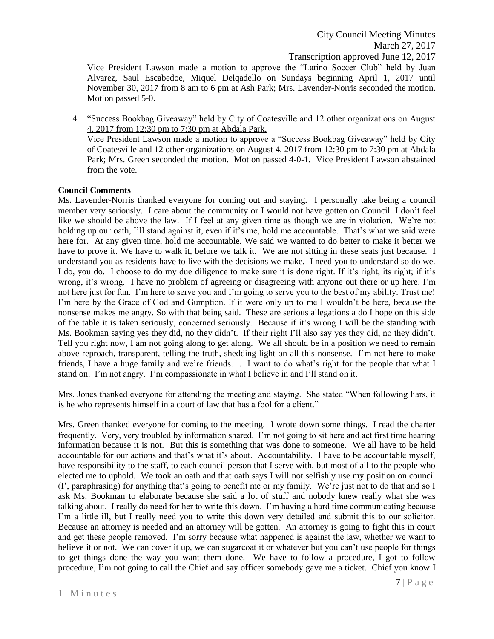Vice President Lawson made a motion to approve the "Latino Soccer Club" held by Juan Alvarez, Saul Escabedoe, Miquel Delqadello on Sundays beginning April 1, 2017 until November 30, 2017 from 8 am to 6 pm at Ash Park; Mrs. Lavender-Norris seconded the motion. Motion passed 5-0.

4. "Success Bookbag Giveaway" held by City of Coatesville and 12 other organizations on August 4, 2017 from 12:30 pm to 7:30 pm at Abdala Park. Vice President Lawson made a motion to approve a "Success Bookbag Giveaway" held by City of Coatesville and 12 other organizations on August 4, 2017 from 12:30 pm to 7:30 pm at Abdala Park; Mrs. Green seconded the motion. Motion passed 4-0-1. Vice President Lawson abstained from the vote.

## **Council Comments**

Ms. Lavender-Norris thanked everyone for coming out and staying. I personally take being a council member very seriously. I care about the community or I would not have gotten on Council. I don't feel like we should be above the law. If I feel at any given time as though we are in violation. We're not holding up our oath, I'll stand against it, even if it's me, hold me accountable. That's what we said were here for. At any given time, hold me accountable. We said we wanted to do better to make it better we have to prove it. We have to walk it, before we talk it. We are not sitting in these seats just because. I understand you as residents have to live with the decisions we make. I need you to understand so do we. I do, you do. I choose to do my due diligence to make sure it is done right. If it's right, its right; if it's wrong, it's wrong. I have no problem of agreeing or disagreeing with anyone out there or up here. I'm not here just for fun. I'm here to serve you and I'm going to serve you to the best of my ability. Trust me! I'm here by the Grace of God and Gumption. If it were only up to me I wouldn't be here, because the nonsense makes me angry. So with that being said. These are serious allegations a do I hope on this side of the table it is taken seriously, concerned seriously. Because if it's wrong I will be the standing with Ms. Bookman saying yes they did, no they didn't. If their right I'll also say yes they did, no they didn't. Tell you right now, I am not going along to get along. We all should be in a position we need to remain above reproach, transparent, telling the truth, shedding light on all this nonsense. I'm not here to make friends, I have a huge family and we're friends. . I want to do what's right for the people that what I stand on. I'm not angry. I'm compassionate in what I believe in and I'll stand on it.

Mrs. Jones thanked everyone for attending the meeting and staying. She stated "When following liars, it is he who represents himself in a court of law that has a fool for a client."

Mrs. Green thanked everyone for coming to the meeting. I wrote down some things. I read the charter frequently. Very, very troubled by information shared. I'm not going to sit here and act first time hearing information because it is not. But this is something that was done to someone. We all have to be held accountable for our actions and that's what it's about. Accountability. I have to be accountable myself, have responsibility to the staff, to each council person that I serve with, but most of all to the people who elected me to uphold. We took an oath and that oath says I will not selfishly use my position on council (I', paraphrasing) for anything that's going to benefit me or my family. We're just not to do that and so I ask Ms. Bookman to elaborate because she said a lot of stuff and nobody knew really what she was talking about. I really do need for her to write this down. I'm having a hard time communicating because I'm a little ill, but I really need you to write this down very detailed and submit this to our solicitor. Because an attorney is needed and an attorney will be gotten. An attorney is going to fight this in court and get these people removed. I'm sorry because what happened is against the law, whether we want to believe it or not. We can cover it up, we can sugarcoat it or whatever but you can't use people for things to get things done the way you want them done. We have to follow a procedure, I got to follow procedure, I'm not going to call the Chief and say officer somebody gave me a ticket. Chief you know I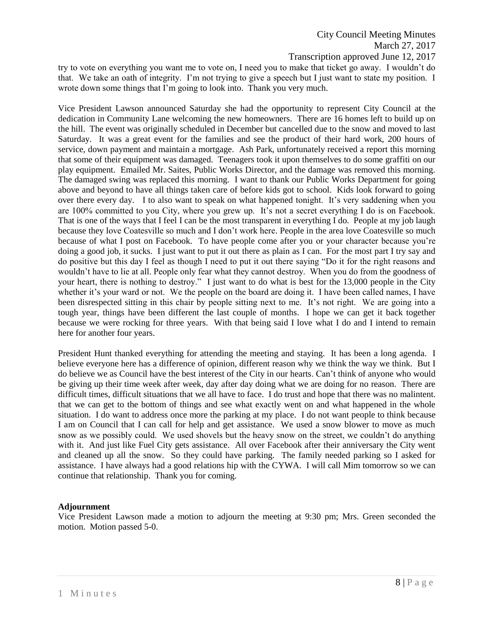try to vote on everything you want me to vote on, I need you to make that ticket go away. I wouldn't do that. We take an oath of integrity. I'm not trying to give a speech but I just want to state my position. I wrote down some things that I'm going to look into. Thank you very much.

Vice President Lawson announced Saturday she had the opportunity to represent City Council at the dedication in Community Lane welcoming the new homeowners. There are 16 homes left to build up on the hill. The event was originally scheduled in December but cancelled due to the snow and moved to last Saturday. It was a great event for the families and see the product of their hard work, 200 hours of service, down payment and maintain a mortgage. Ash Park, unfortunately received a report this morning that some of their equipment was damaged. Teenagers took it upon themselves to do some graffiti on our play equipment. Emailed Mr. Saites, Public Works Director, and the damage was removed this morning. The damaged swing was replaced this morning. I want to thank our Public Works Department for going above and beyond to have all things taken care of before kids got to school. Kids look forward to going over there every day. I to also want to speak on what happened tonight. It's very saddening when you are 100% committed to you City, where you grew up. It's not a secret everything I do is on Facebook. That is one of the ways that I feel I can be the most transparent in everything I do. People at my job laugh because they love Coatesville so much and I don't work here. People in the area love Coatesville so much because of what I post on Facebook. To have people come after you or your character because you're doing a good job, it sucks. I just want to put it out there as plain as I can. For the most part I try say and do positive but this day I feel as though I need to put it out there saying "Do it for the right reasons and wouldn't have to lie at all. People only fear what they cannot destroy. When you do from the goodness of your heart, there is nothing to destroy." I just want to do what is best for the 13,000 people in the City whether it's your ward or not. We the people on the board are doing it. I have been called names, I have been disrespected sitting in this chair by people sitting next to me. It's not right. We are going into a tough year, things have been different the last couple of months. I hope we can get it back together because we were rocking for three years. With that being said I love what I do and I intend to remain here for another four years.

President Hunt thanked everything for attending the meeting and staying. It has been a long agenda. I believe everyone here has a difference of opinion, different reason why we think the way we think. But I do believe we as Council have the best interest of the City in our hearts. Can't think of anyone who would be giving up their time week after week, day after day doing what we are doing for no reason. There are difficult times, difficult situations that we all have to face. I do trust and hope that there was no malintent. that we can get to the bottom of things and see what exactly went on and what happened in the whole situation. I do want to address once more the parking at my place. I do not want people to think because I am on Council that I can call for help and get assistance. We used a snow blower to move as much snow as we possibly could. We used shovels but the heavy snow on the street, we couldn't do anything with it. And just like Fuel City gets assistance. All over Facebook after their anniversary the City went and cleaned up all the snow. So they could have parking. The family needed parking so I asked for assistance. I have always had a good relations hip with the CYWA. I will call Mim tomorrow so we can continue that relationship. Thank you for coming.

## **Adjournment**

Vice President Lawson made a motion to adjourn the meeting at 9:30 pm; Mrs. Green seconded the motion. Motion passed 5-0.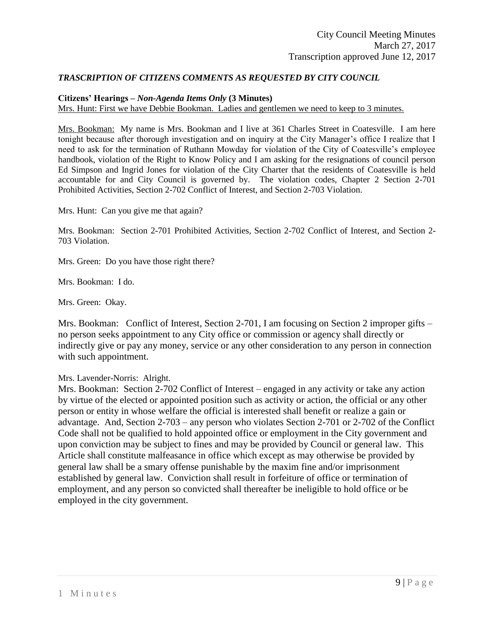# *TRASCRIPTION OF CITIZENS COMMENTS AS REQUESTED BY CITY COUNCIL*

#### **Citizens' Hearings –** *Non-Agenda Items Only* **(3 Minutes)**

Mrs. Hunt: First we have Debbie Bookman. Ladies and gentlemen we need to keep to 3 minutes.

Mrs. Bookman: My name is Mrs. Bookman and I live at 361 Charles Street in Coatesville. I am here tonight because after thorough investigation and on inquiry at the City Manager's office I realize that I need to ask for the termination of Ruthann Mowday for violation of the City of Coatesville's employee handbook, violation of the Right to Know Policy and I am asking for the resignations of council person Ed Simpson and Ingrid Jones for violation of the City Charter that the residents of Coatesville is held accountable for and City Council is governed by. The violation codes, Chapter 2 Section 2-701 Prohibited Activities, Section 2-702 Conflict of Interest, and Section 2-703 Violation.

Mrs. Hunt: Can you give me that again?

Mrs. Bookman: Section 2-701 Prohibited Activities, Section 2-702 Conflict of Interest, and Section 2- 703 Violation.

Mrs. Green: Do you have those right there?

Mrs. Bookman: I do.

Mrs. Green: Okay.

Mrs. Bookman: Conflict of Interest, Section 2-701, I am focusing on Section 2 improper gifts – no person seeks appointment to any City office or commission or agency shall directly or indirectly give or pay any money, service or any other consideration to any person in connection with such appointment.

## Mrs. Lavender-Norris: Alright.

Mrs. Bookman: Section 2-702 Conflict of Interest – engaged in any activity or take any action by virtue of the elected or appointed position such as activity or action, the official or any other person or entity in whose welfare the official is interested shall benefit or realize a gain or advantage. And, Section 2-703 – any person who violates Section 2-701 or 2-702 of the Conflict Code shall not be qualified to hold appointed office or employment in the City government and upon conviction may be subject to fines and may be provided by Council or general law. This Article shall constitute malfeasance in office which except as may otherwise be provided by general law shall be a smary offense punishable by the maxim fine and/or imprisonment established by general law. Conviction shall result in forfeiture of office or termination of employment, and any person so convicted shall thereafter be ineligible to hold office or be employed in the city government.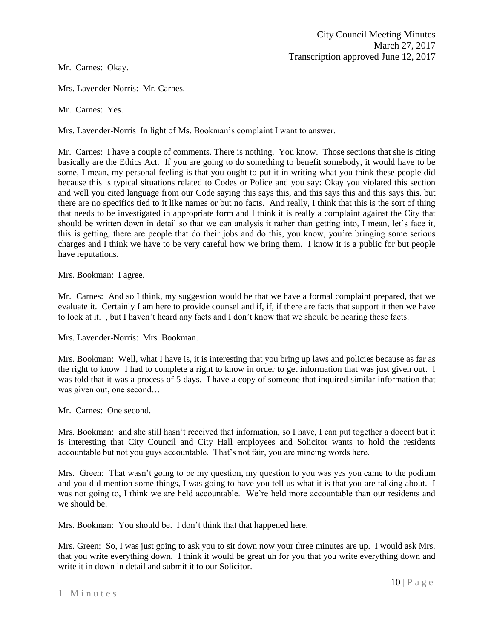Mr. Carnes: Okay.

Mrs. Lavender-Norris: Mr. Carnes.

Mr. Carnes: Yes.

Mrs. Lavender-Norris In light of Ms. Bookman's complaint I want to answer.

Mr. Carnes: I have a couple of comments. There is nothing. You know. Those sections that she is citing basically are the Ethics Act. If you are going to do something to benefit somebody, it would have to be some, I mean, my personal feeling is that you ought to put it in writing what you think these people did because this is typical situations related to Codes or Police and you say: Okay you violated this section and well you cited language from our Code saying this says this, and this says this and this says this. but there are no specifics tied to it like names or but no facts. And really, I think that this is the sort of thing that needs to be investigated in appropriate form and I think it is really a complaint against the City that should be written down in detail so that we can analysis it rather than getting into, I mean, let's face it, this is getting, there are people that do their jobs and do this, you know, you're bringing some serious charges and I think we have to be very careful how we bring them. I know it is a public for but people have reputations.

Mrs. Bookman: I agree.

Mr. Carnes: And so I think, my suggestion would be that we have a formal complaint prepared, that we evaluate it. Certainly I am here to provide counsel and if, if, if there are facts that support it then we have to look at it. , but I haven't heard any facts and I don't know that we should be hearing these facts.

Mrs. Lavender-Norris: Mrs. Bookman.

Mrs. Bookman: Well, what I have is, it is interesting that you bring up laws and policies because as far as the right to know I had to complete a right to know in order to get information that was just given out. I was told that it was a process of 5 days. I have a copy of someone that inquired similar information that was given out, one second…

Mr. Carnes: One second.

Mrs. Bookman: and she still hasn't received that information, so I have, I can put together a docent but it is interesting that City Council and City Hall employees and Solicitor wants to hold the residents accountable but not you guys accountable. That's not fair, you are mincing words here.

Mrs. Green: That wasn't going to be my question, my question to you was yes you came to the podium and you did mention some things, I was going to have you tell us what it is that you are talking about. I was not going to, I think we are held accountable. We're held more accountable than our residents and we should be.

Mrs. Bookman: You should be. I don't think that that happened here.

Mrs. Green: So, I was just going to ask you to sit down now your three minutes are up. I would ask Mrs. that you write everything down. I think it would be great uh for you that you write everything down and write it in down in detail and submit it to our Solicitor.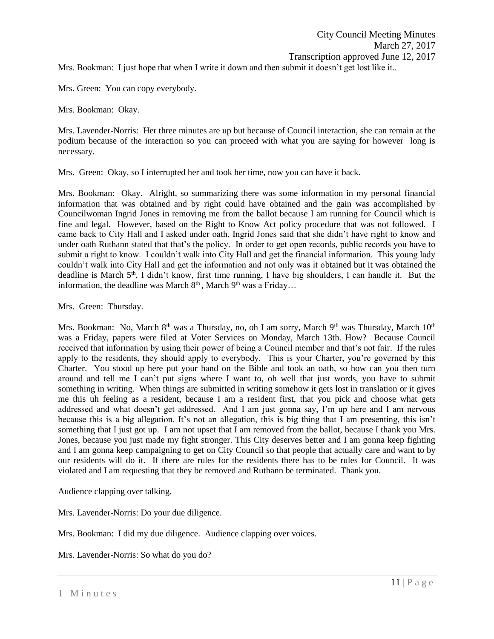Mrs. Bookman: I just hope that when I write it down and then submit it doesn't get lost like it..

Mrs. Green: You can copy everybody.

Mrs. Bookman: Okay.

Mrs. Lavender-Norris: Her three minutes are up but because of Council interaction, she can remain at the podium because of the interaction so you can proceed with what you are saying for however long is necessary.

Mrs. Green: Okay, so I interrupted her and took her time, now you can have it back.

Mrs. Bookman: Okay. Alright, so summarizing there was some information in my personal financial information that was obtained and by right could have obtained and the gain was accomplished by Councilwoman Ingrid Jones in removing me from the ballot because I am running for Council which is fine and legal. However, based on the Right to Know Act policy procedure that was not followed. I came back to City Hall and I asked under oath, Ingrid Jones said that she didn't have right to know and under oath Ruthann stated that that's the policy. In order to get open records, public records you have to submit a right to know. I couldn't walk into City Hall and get the financial information. This young lady couldn't walk into City Hall and get the information and not only was it obtained but it was obtained the deadline is March 5<sup>th</sup>, I didn't know, first time running, I have big shoulders, I can handle it. But the information, the deadline was March  $8<sup>th</sup>$ , March  $9<sup>th</sup>$  was a Friday...

Mrs. Green: Thursday.

Mrs. Bookman: No, March 8<sup>th</sup> was a Thursday, no, oh I am sorry, March 9<sup>th</sup> was Thursday, March 10<sup>th</sup> was a Friday, papers were filed at Voter Services on Monday, March 13th. How? Because Council received that information by using their power of being a Council member and that's not fair. If the rules apply to the residents, they should apply to everybody. This is your Charter, you're governed by this Charter. You stood up here put your hand on the Bible and took an oath, so how can you then turn around and tell me I can't put signs where I want to, oh well that just words, you have to submit something in writing. When things are submitted in writing somehow it gets lost in translation or it gives me this uh feeling as a resident, because I am a resident first, that you pick and choose what gets addressed and what doesn't get addressed. And I am just gonna say, I'm up here and I am nervous because this is a big allegation. It's not an allegation, this is big thing that I am presenting, this isn't something that I just got up. I am not upset that I am removed from the ballot, because I thank you Mrs. Jones, because you just made my fight stronger. This City deserves better and I am gonna keep fighting and I am gonna keep campaigning to get on City Council so that people that actually care and want to by our residents will do it. If there are rules for the residents there has to be rules for Council. It was violated and I am requesting that they be removed and Ruthann be terminated. Thank you.

Audience clapping over talking.

Mrs. Lavender-Norris: Do your due diligence.

Mrs. Bookman: I did my due diligence. Audience clapping over voices.

Mrs. Lavender-Norris: So what do you do?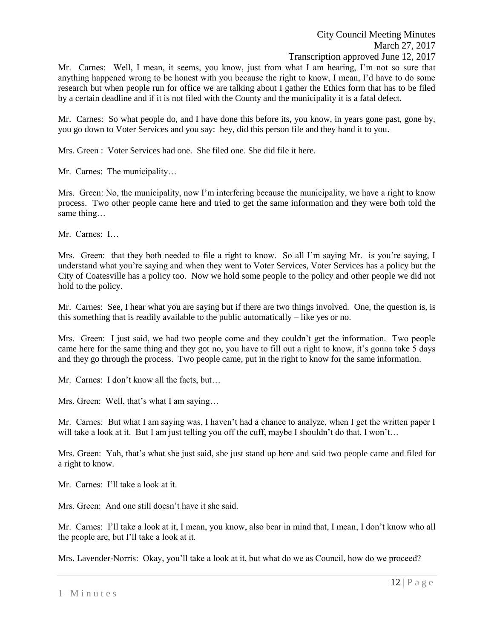Mr. Carnes: Well, I mean, it seems, you know, just from what I am hearing, I'm not so sure that anything happened wrong to be honest with you because the right to know, I mean, I'd have to do some research but when people run for office we are talking about I gather the Ethics form that has to be filed by a certain deadline and if it is not filed with the County and the municipality it is a fatal defect.

Mr. Carnes: So what people do, and I have done this before its, you know, in years gone past, gone by, you go down to Voter Services and you say: hey, did this person file and they hand it to you.

Mrs. Green : Voter Services had one. She filed one. She did file it here.

Mr. Carnes: The municipality…

Mrs. Green: No, the municipality, now I'm interfering because the municipality, we have a right to know process. Two other people came here and tried to get the same information and they were both told the same thing…

Mr. Carnes: I…

Mrs. Green: that they both needed to file a right to know. So all I'm saying Mr. is you're saying, I understand what you're saying and when they went to Voter Services, Voter Services has a policy but the City of Coatesville has a policy too. Now we hold some people to the policy and other people we did not hold to the policy.

Mr. Carnes: See, I hear what you are saying but if there are two things involved. One, the question is, is this something that is readily available to the public automatically – like yes or no.

Mrs. Green: I just said, we had two people come and they couldn't get the information. Two people came here for the same thing and they got no, you have to fill out a right to know, it's gonna take 5 days and they go through the process. Two people came, put in the right to know for the same information.

Mr. Carnes: I don't know all the facts, but…

Mrs. Green: Well, that's what I am saying…

Mr. Carnes: But what I am saying was, I haven't had a chance to analyze, when I get the written paper I will take a look at it. But I am just telling you off the cuff, maybe I shouldn't do that, I won't...

Mrs. Green: Yah, that's what she just said, she just stand up here and said two people came and filed for a right to know.

Mr. Carnes: I'll take a look at it.

Mrs. Green: And one still doesn't have it she said.

Mr. Carnes: I'll take a look at it, I mean, you know, also bear in mind that, I mean, I don't know who all the people are, but I'll take a look at it.

Mrs. Lavender-Norris: Okay, you'll take a look at it, but what do we as Council, how do we proceed?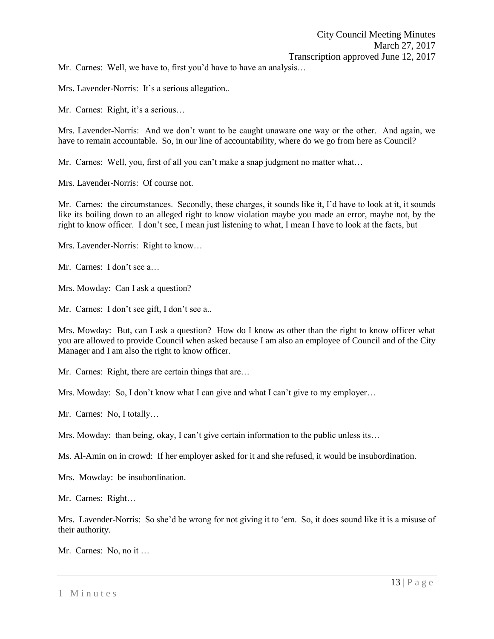Mr. Carnes: Well, we have to, first you'd have to have an analysis…

Mrs. Lavender-Norris: It's a serious allegation...

Mr. Carnes: Right, it's a serious…

Mrs. Lavender-Norris: And we don't want to be caught unaware one way or the other. And again, we have to remain accountable. So, in our line of accountability, where do we go from here as Council?

Mr. Carnes: Well, you, first of all you can't make a snap judgment no matter what...

Mrs. Lavender-Norris: Of course not.

Mr. Carnes: the circumstances. Secondly, these charges, it sounds like it, I'd have to look at it, it sounds like its boiling down to an alleged right to know violation maybe you made an error, maybe not, by the right to know officer. I don't see, I mean just listening to what, I mean I have to look at the facts, but

Mrs. Lavender-Norris: Right to know…

Mr. Carnes: I don't see a…

Mrs. Mowday: Can I ask a question?

Mr. Carnes: I don't see gift, I don't see a..

Mrs. Mowday: But, can I ask a question? How do I know as other than the right to know officer what you are allowed to provide Council when asked because I am also an employee of Council and of the City Manager and I am also the right to know officer.

Mr. Carnes: Right, there are certain things that are…

Mrs. Mowday: So, I don't know what I can give and what I can't give to my employer...

Mr. Carnes: No, I totally…

Mrs. Mowday: than being, okay, I can't give certain information to the public unless its…

Ms. Al-Amin on in crowd: If her employer asked for it and she refused, it would be insubordination.

Mrs. Mowday: be insubordination.

Mr. Carnes: Right…

Mrs. Lavender-Norris: So she'd be wrong for not giving it to 'em. So, it does sound like it is a misuse of their authority.

Mr. Carnes: No, no it …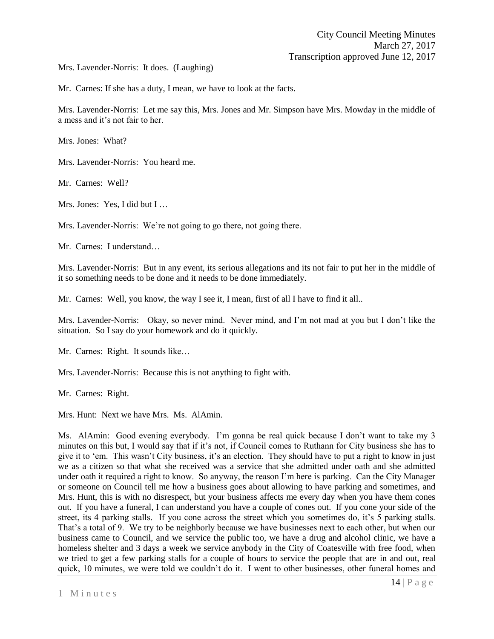Mrs. Lavender-Norris: It does. (Laughing)

Mr. Carnes: If she has a duty, I mean, we have to look at the facts.

Mrs. Lavender-Norris: Let me say this, Mrs. Jones and Mr. Simpson have Mrs. Mowday in the middle of a mess and it's not fair to her.

Mrs. Jones: What?

Mrs. Lavender-Norris: You heard me.

Mr. Carnes: Well?

Mrs. Jones: Yes, I did but I …

Mrs. Lavender-Norris: We're not going to go there, not going there.

Mr. Carnes: I understand…

Mrs. Lavender-Norris: But in any event, its serious allegations and its not fair to put her in the middle of it so something needs to be done and it needs to be done immediately.

Mr. Carnes: Well, you know, the way I see it, I mean, first of all I have to find it all..

Mrs. Lavender-Norris: Okay, so never mind. Never mind, and I'm not mad at you but I don't like the situation. So I say do your homework and do it quickly.

Mr. Carnes: Right. It sounds like…

Mrs. Lavender-Norris: Because this is not anything to fight with.

Mr. Carnes: Right.

Mrs. Hunt: Next we have Mrs. Ms. AlAmin.

Ms. AlAmin: Good evening everybody. I'm gonna be real quick because I don't want to take my 3 minutes on this but, I would say that if it's not, if Council comes to Ruthann for City business she has to give it to 'em. This wasn't City business, it's an election. They should have to put a right to know in just we as a citizen so that what she received was a service that she admitted under oath and she admitted under oath it required a right to know. So anyway, the reason I'm here is parking. Can the City Manager or someone on Council tell me how a business goes about allowing to have parking and sometimes, and Mrs. Hunt, this is with no disrespect, but your business affects me every day when you have them cones out. If you have a funeral, I can understand you have a couple of cones out. If you cone your side of the street, its 4 parking stalls. If you cone across the street which you sometimes do, it's 5 parking stalls. That's a total of 9. We try to be neighborly because we have businesses next to each other, but when our business came to Council, and we service the public too, we have a drug and alcohol clinic, we have a homeless shelter and 3 days a week we service anybody in the City of Coatesville with free food, when we tried to get a few parking stalls for a couple of hours to service the people that are in and out, real quick, 10 minutes, we were told we couldn't do it. I went to other businesses, other funeral homes and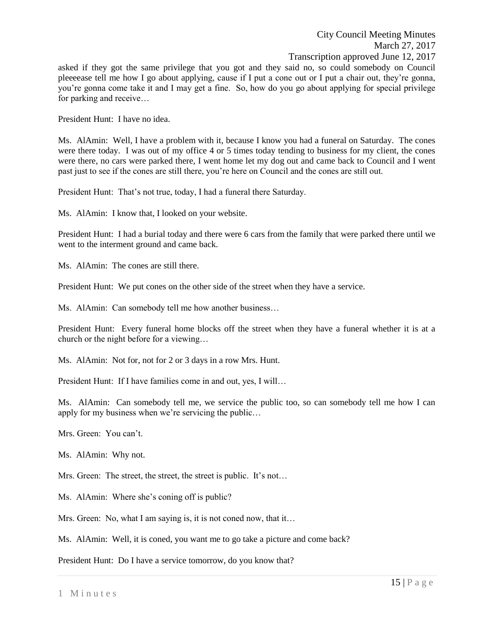asked if they got the same privilege that you got and they said no, so could somebody on Council pleeeease tell me how I go about applying, cause if I put a cone out or I put a chair out, they're gonna, you're gonna come take it and I may get a fine. So, how do you go about applying for special privilege for parking and receive…

President Hunt: I have no idea.

Ms. AlAmin: Well, I have a problem with it, because I know you had a funeral on Saturday. The cones were there today. I was out of my office 4 or 5 times today tending to business for my client, the cones were there, no cars were parked there, I went home let my dog out and came back to Council and I went past just to see if the cones are still there, you're here on Council and the cones are still out.

President Hunt: That's not true, today, I had a funeral there Saturday.

Ms. AlAmin: I know that, I looked on your website.

President Hunt: I had a burial today and there were 6 cars from the family that were parked there until we went to the interment ground and came back.

Ms. AlAmin: The cones are still there.

President Hunt: We put cones on the other side of the street when they have a service.

Ms. AlAmin: Can somebody tell me how another business…

President Hunt: Every funeral home blocks off the street when they have a funeral whether it is at a church or the night before for a viewing…

Ms. AlAmin: Not for, not for 2 or 3 days in a row Mrs. Hunt.

President Hunt: If I have families come in and out, yes, I will…

Ms. AlAmin: Can somebody tell me, we service the public too, so can somebody tell me how I can apply for my business when we're servicing the public…

Mrs. Green: You can't.

Ms. AlAmin: Why not.

Mrs. Green: The street, the street, the street is public. It's not...

Ms. AlAmin: Where she's coning off is public?

Mrs. Green: No, what I am saying is, it is not coned now, that it...

Ms. AlAmin: Well, it is coned, you want me to go take a picture and come back?

President Hunt: Do I have a service tomorrow, do you know that?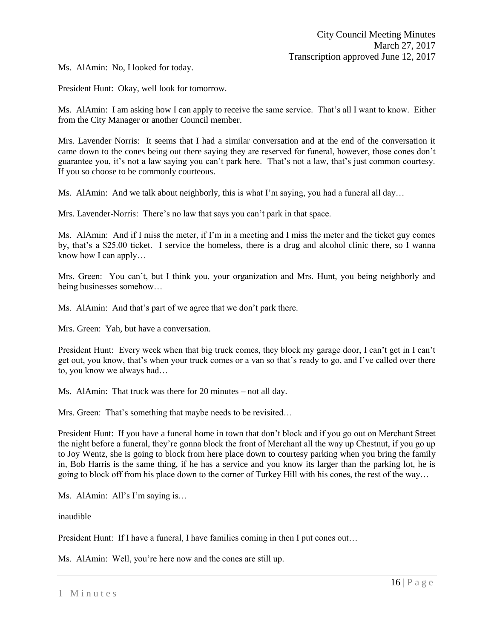Ms. AlAmin: No, I looked for today.

President Hunt: Okay, well look for tomorrow.

Ms. AlAmin: I am asking how I can apply to receive the same service. That's all I want to know. Either from the City Manager or another Council member.

Mrs. Lavender Norris: It seems that I had a similar conversation and at the end of the conversation it came down to the cones being out there saying they are reserved for funeral, however, those cones don't guarantee you, it's not a law saying you can't park here. That's not a law, that's just common courtesy. If you so choose to be commonly courteous.

Ms. AlAmin: And we talk about neighborly, this is what I'm saying, you had a funeral all day...

Mrs. Lavender-Norris: There's no law that says you can't park in that space.

Ms. AlAmin: And if I miss the meter, if I'm in a meeting and I miss the meter and the ticket guy comes by, that's a \$25.00 ticket. I service the homeless, there is a drug and alcohol clinic there, so I wanna know how I can apply…

Mrs. Green: You can't, but I think you, your organization and Mrs. Hunt, you being neighborly and being businesses somehow…

Ms. AlAmin: And that's part of we agree that we don't park there.

Mrs. Green: Yah, but have a conversation.

President Hunt: Every week when that big truck comes, they block my garage door, I can't get in I can't get out, you know, that's when your truck comes or a van so that's ready to go, and I've called over there to, you know we always had…

Ms. AlAmin: That truck was there for 20 minutes – not all day.

Mrs. Green: That's something that maybe needs to be revisited…

President Hunt: If you have a funeral home in town that don't block and if you go out on Merchant Street the night before a funeral, they're gonna block the front of Merchant all the way up Chestnut, if you go up to Joy Wentz, she is going to block from here place down to courtesy parking when you bring the family in, Bob Harris is the same thing, if he has a service and you know its larger than the parking lot, he is going to block off from his place down to the corner of Turkey Hill with his cones, the rest of the way…

Ms. AlAmin: All's I'm saying is…

inaudible

President Hunt: If I have a funeral, I have families coming in then I put cones out…

Ms. AlAmin: Well, you're here now and the cones are still up.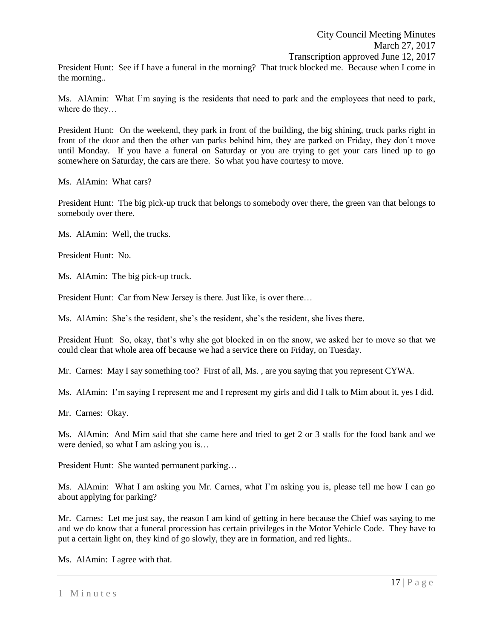President Hunt: See if I have a funeral in the morning? That truck blocked me. Because when I come in the morning..

Ms. AlAmin: What I'm saying is the residents that need to park and the employees that need to park, where do they…

President Hunt: On the weekend, they park in front of the building, the big shining, truck parks right in front of the door and then the other van parks behind him, they are parked on Friday, they don't move until Monday. If you have a funeral on Saturday or you are trying to get your cars lined up to go somewhere on Saturday, the cars are there. So what you have courtesy to move.

Ms. AlAmin: What cars?

President Hunt: The big pick-up truck that belongs to somebody over there, the green van that belongs to somebody over there.

Ms. AlAmin: Well, the trucks.

President Hunt: No.

Ms. AlAmin: The big pick-up truck.

President Hunt: Car from New Jersey is there. Just like, is over there…

Ms. AlAmin: She's the resident, she's the resident, she's the resident, she lives there.

President Hunt: So, okay, that's why she got blocked in on the snow, we asked her to move so that we could clear that whole area off because we had a service there on Friday, on Tuesday.

Mr. Carnes: May I say something too? First of all, Ms. , are you saying that you represent CYWA.

Ms. AlAmin: I'm saying I represent me and I represent my girls and did I talk to Mim about it, yes I did.

Mr. Carnes: Okay.

Ms. AlAmin: And Mim said that she came here and tried to get 2 or 3 stalls for the food bank and we were denied, so what I am asking you is…

President Hunt: She wanted permanent parking…

Ms. AlAmin: What I am asking you Mr. Carnes, what I'm asking you is, please tell me how I can go about applying for parking?

Mr. Carnes: Let me just say, the reason I am kind of getting in here because the Chief was saying to me and we do know that a funeral procession has certain privileges in the Motor Vehicle Code. They have to put a certain light on, they kind of go slowly, they are in formation, and red lights..

Ms. AlAmin: I agree with that.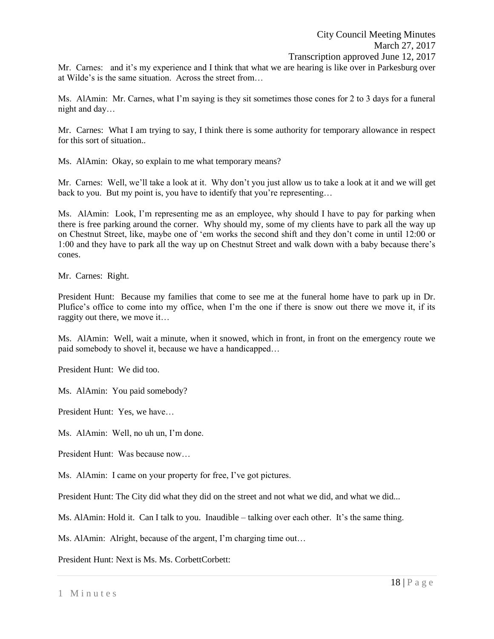Mr. Carnes: and it's my experience and I think that what we are hearing is like over in Parkesburg over at Wilde's is the same situation. Across the street from…

Ms. AlAmin: Mr. Carnes, what I'm saying is they sit sometimes those cones for 2 to 3 days for a funeral night and day…

Mr. Carnes: What I am trying to say, I think there is some authority for temporary allowance in respect for this sort of situation..

Ms. AlAmin: Okay, so explain to me what temporary means?

Mr. Carnes: Well, we'll take a look at it. Why don't you just allow us to take a look at it and we will get back to you. But my point is, you have to identify that you're representing...

Ms. AlAmin: Look, I'm representing me as an employee, why should I have to pay for parking when there is free parking around the corner. Why should my, some of my clients have to park all the way up on Chestnut Street, like, maybe one of 'em works the second shift and they don't come in until 12:00 or 1:00 and they have to park all the way up on Chestnut Street and walk down with a baby because there's cones.

Mr. Carnes: Right.

President Hunt: Because my families that come to see me at the funeral home have to park up in Dr. Plufice's office to come into my office, when I'm the one if there is snow out there we move it, if its raggity out there, we move it…

Ms. AlAmin: Well, wait a minute, when it snowed, which in front, in front on the emergency route we paid somebody to shovel it, because we have a handicapped…

President Hunt: We did too.

Ms. AlAmin: You paid somebody?

President Hunt: Yes, we have…

Ms. AlAmin: Well, no uh un, I'm done.

President Hunt: Was because now…

Ms. AlAmin: I came on your property for free, I've got pictures.

President Hunt: The City did what they did on the street and not what we did, and what we did...

Ms. AlAmin: Hold it. Can I talk to you. Inaudible – talking over each other. It's the same thing.

Ms. AlAmin: Alright, because of the argent, I'm charging time out…

President Hunt: Next is Ms. Ms. CorbettCorbett: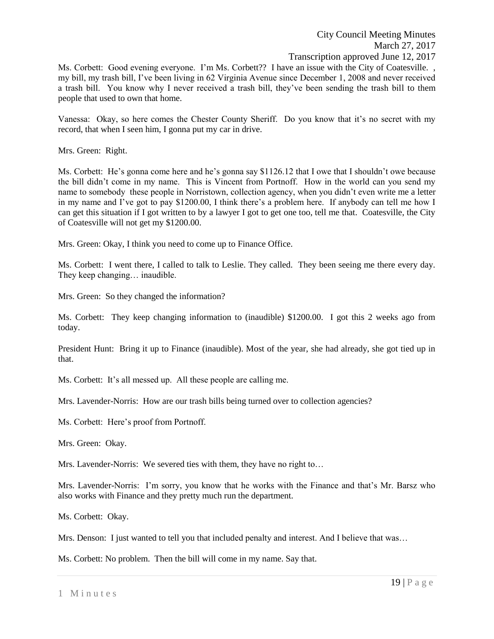Ms. Corbett: Good evening everyone. I'm Ms. Corbett?? I have an issue with the City of Coatesville. , my bill, my trash bill, I've been living in 62 Virginia Avenue since December 1, 2008 and never received a trash bill. You know why I never received a trash bill, they've been sending the trash bill to them people that used to own that home.

Vanessa: Okay, so here comes the Chester County Sheriff. Do you know that it's no secret with my record, that when I seen him, I gonna put my car in drive.

Mrs. Green: Right.

Ms. Corbett: He's gonna come here and he's gonna say \$1126.12 that I owe that I shouldn't owe because the bill didn't come in my name. This is Vincent from Portnoff. How in the world can you send my name to somebody these people in Norristown, collection agency, when you didn't even write me a letter in my name and I've got to pay \$1200.00, I think there's a problem here. If anybody can tell me how I can get this situation if I got written to by a lawyer I got to get one too, tell me that. Coatesville, the City of Coatesville will not get my \$1200.00.

Mrs. Green: Okay, I think you need to come up to Finance Office.

Ms. Corbett: I went there, I called to talk to Leslie. They called. They been seeing me there every day. They keep changing… inaudible.

Mrs. Green: So they changed the information?

Ms. Corbett: They keep changing information to (inaudible) \$1200.00. I got this 2 weeks ago from today.

President Hunt: Bring it up to Finance (inaudible). Most of the year, she had already, she got tied up in that.

Ms. Corbett: It's all messed up. All these people are calling me.

Mrs. Lavender-Norris: How are our trash bills being turned over to collection agencies?

Ms. Corbett: Here's proof from Portnoff.

Mrs. Green: Okay.

Mrs. Lavender-Norris: We severed ties with them, they have no right to...

Mrs. Lavender-Norris: I'm sorry, you know that he works with the Finance and that's Mr. Barsz who also works with Finance and they pretty much run the department.

Ms. Corbett: Okay.

Mrs. Denson: I just wanted to tell you that included penalty and interest. And I believe that was...

Ms. Corbett: No problem. Then the bill will come in my name. Say that.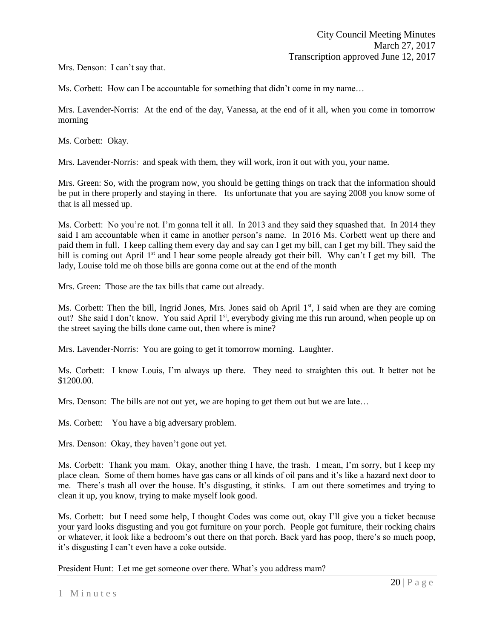Mrs. Denson: I can't say that.

Ms. Corbett: How can I be accountable for something that didn't come in my name…

Mrs. Lavender-Norris: At the end of the day, Vanessa, at the end of it all, when you come in tomorrow morning

Ms. Corbett: Okay.

Mrs. Lavender-Norris: and speak with them, they will work, iron it out with you, your name.

Mrs. Green: So, with the program now, you should be getting things on track that the information should be put in there properly and staying in there. Its unfortunate that you are saying 2008 you know some of that is all messed up.

Ms. Corbett: No you're not. I'm gonna tell it all. In 2013 and they said they squashed that. In 2014 they said I am accountable when it came in another person's name. In 2016 Ms. Corbett went up there and paid them in full. I keep calling them every day and say can I get my bill, can I get my bill. They said the bill is coming out April 1<sup>st</sup> and I hear some people already got their bill. Why can't I get my bill. The lady, Louise told me oh those bills are gonna come out at the end of the month

Mrs. Green: Those are the tax bills that came out already.

Ms. Corbett: Then the bill, Ingrid Jones, Mrs. Jones said oh April  $1<sup>st</sup>$ , I said when are they are coming out? She said I don't know. You said April 1st, everybody giving me this run around, when people up on the street saying the bills done came out, then where is mine?

Mrs. Lavender-Norris: You are going to get it tomorrow morning. Laughter.

Ms. Corbett: I know Louis, I'm always up there. They need to straighten this out. It better not be \$1200.00.

Mrs. Denson: The bills are not out yet, we are hoping to get them out but we are late…

Ms. Corbett: You have a big adversary problem.

Mrs. Denson: Okay, they haven't gone out yet.

Ms. Corbett: Thank you mam. Okay, another thing I have, the trash. I mean, I'm sorry, but I keep my place clean. Some of them homes have gas cans or all kinds of oil pans and it's like a hazard next door to me. There's trash all over the house. It's disgusting, it stinks. I am out there sometimes and trying to clean it up, you know, trying to make myself look good.

Ms. Corbett: but I need some help, I thought Codes was come out, okay I'll give you a ticket because your yard looks disgusting and you got furniture on your porch. People got furniture, their rocking chairs or whatever, it look like a bedroom's out there on that porch. Back yard has poop, there's so much poop, it's disgusting I can't even have a coke outside.

President Hunt: Let me get someone over there. What's you address mam?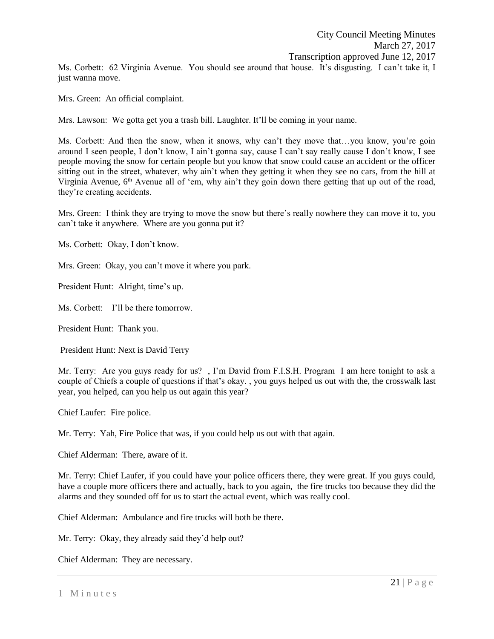Ms. Corbett: 62 Virginia Avenue. You should see around that house. It's disgusting. I can't take it, I just wanna move.

Mrs. Green: An official complaint.

Mrs. Lawson: We gotta get you a trash bill. Laughter. It'll be coming in your name.

Ms. Corbett: And then the snow, when it snows, why can't they move that…you know, you're goin around I seen people, I don't know, I ain't gonna say, cause I can't say really cause I don't know, I see people moving the snow for certain people but you know that snow could cause an accident or the officer sitting out in the street, whatever, why ain't when they getting it when they see no cars, from the hill at Virginia Avenue,  $6<sup>th</sup>$  Avenue all of 'em, why ain't they goin down there getting that up out of the road, they're creating accidents.

Mrs. Green: I think they are trying to move the snow but there's really nowhere they can move it to, you can't take it anywhere. Where are you gonna put it?

Ms. Corbett: Okay, I don't know.

Mrs. Green: Okay, you can't move it where you park.

President Hunt: Alright, time's up.

Ms. Corbett: I'll be there tomorrow.

President Hunt: Thank you.

President Hunt: Next is David Terry

Mr. Terry: Are you guys ready for us? , I'm David from F.I.S.H. Program I am here tonight to ask a couple of Chiefs a couple of questions if that's okay. , you guys helped us out with the, the crosswalk last year, you helped, can you help us out again this year?

Chief Laufer: Fire police.

Mr. Terry: Yah, Fire Police that was, if you could help us out with that again.

Chief Alderman: There, aware of it.

Mr. Terry: Chief Laufer, if you could have your police officers there, they were great. If you guys could, have a couple more officers there and actually, back to you again, the fire trucks too because they did the alarms and they sounded off for us to start the actual event, which was really cool.

Chief Alderman: Ambulance and fire trucks will both be there.

Mr. Terry: Okay, they already said they'd help out?

Chief Alderman: They are necessary.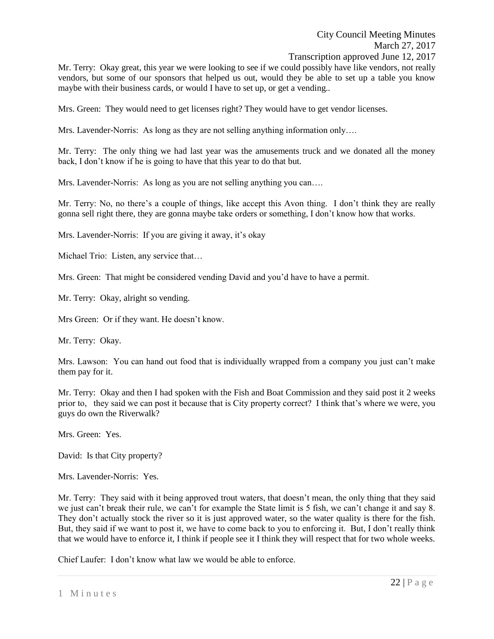Mr. Terry: Okay great, this year we were looking to see if we could possibly have like vendors, not really vendors, but some of our sponsors that helped us out, would they be able to set up a table you know maybe with their business cards, or would I have to set up, or get a vending..

Mrs. Green: They would need to get licenses right? They would have to get vendor licenses.

Mrs. Lavender-Norris: As long as they are not selling anything information only….

Mr. Terry: The only thing we had last year was the amusements truck and we donated all the money back, I don't know if he is going to have that this year to do that but.

Mrs. Lavender-Norris: As long as you are not selling anything you can....

Mr. Terry: No, no there's a couple of things, like accept this Avon thing. I don't think they are really gonna sell right there, they are gonna maybe take orders or something, I don't know how that works.

Mrs. Lavender-Norris: If you are giving it away, it's okay

Michael Trio: Listen, any service that…

Mrs. Green: That might be considered vending David and you'd have to have a permit.

Mr. Terry: Okay, alright so vending.

Mrs Green: Or if they want. He doesn't know.

Mr. Terry: Okay.

Mrs. Lawson: You can hand out food that is individually wrapped from a company you just can't make them pay for it.

Mr. Terry: Okay and then I had spoken with the Fish and Boat Commission and they said post it 2 weeks prior to, they said we can post it because that is City property correct? I think that's where we were, you guys do own the Riverwalk?

Mrs. Green: Yes.

David: Is that City property?

Mrs. Lavender-Norris: Yes.

Mr. Terry: They said with it being approved trout waters, that doesn't mean, the only thing that they said we just can't break their rule, we can't for example the State limit is 5 fish, we can't change it and say 8. They don't actually stock the river so it is just approved water, so the water quality is there for the fish. But, they said if we want to post it, we have to come back to you to enforcing it. But, I don't really think that we would have to enforce it, I think if people see it I think they will respect that for two whole weeks.

Chief Laufer: I don't know what law we would be able to enforce.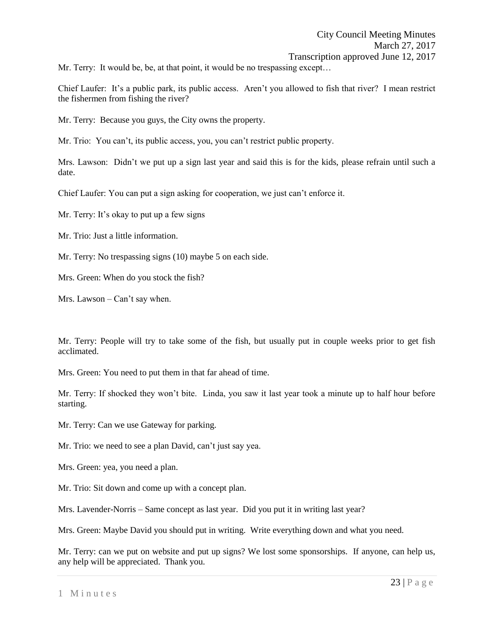Mr. Terry: It would be, be, at that point, it would be no trespassing except...

Chief Laufer: It's a public park, its public access. Aren't you allowed to fish that river? I mean restrict the fishermen from fishing the river?

Mr. Terry: Because you guys, the City owns the property.

Mr. Trio: You can't, its public access, you, you can't restrict public property.

Mrs. Lawson: Didn't we put up a sign last year and said this is for the kids, please refrain until such a date.

Chief Laufer: You can put a sign asking for cooperation, we just can't enforce it.

Mr. Terry: It's okay to put up a few signs

Mr. Trio: Just a little information.

Mr. Terry: No trespassing signs (10) maybe 5 on each side.

Mrs. Green: When do you stock the fish?

Mrs. Lawson – Can't say when.

Mr. Terry: People will try to take some of the fish, but usually put in couple weeks prior to get fish acclimated.

Mrs. Green: You need to put them in that far ahead of time.

Mr. Terry: If shocked they won't bite. Linda, you saw it last year took a minute up to half hour before starting.

Mr. Terry: Can we use Gateway for parking.

Mr. Trio: we need to see a plan David, can't just say yea.

Mrs. Green: yea, you need a plan.

Mr. Trio: Sit down and come up with a concept plan.

Mrs. Lavender-Norris – Same concept as last year. Did you put it in writing last year?

Mrs. Green: Maybe David you should put in writing. Write everything down and what you need.

Mr. Terry: can we put on website and put up signs? We lost some sponsorships. If anyone, can help us, any help will be appreciated. Thank you.